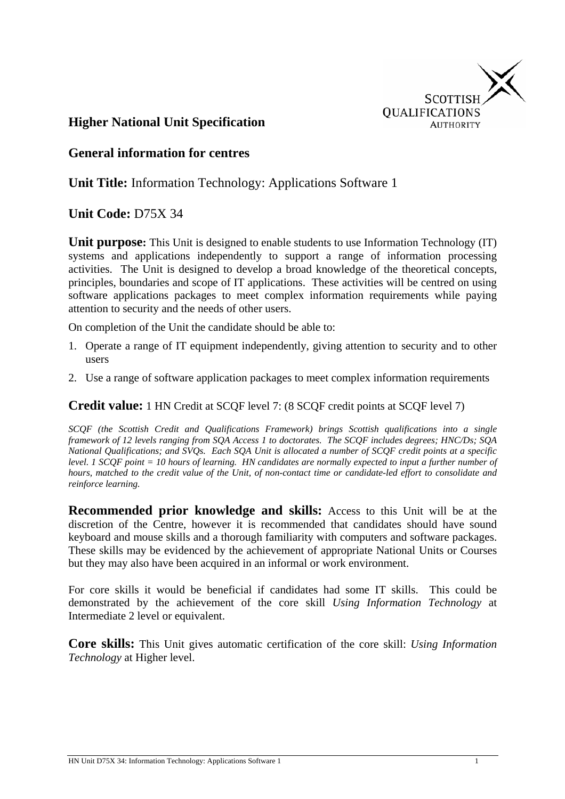

#### **Higher National Unit Specification**

#### **General information for centres**

**Unit Title:** Information Technology: Applications Software 1

#### **Unit Code:** D75X 34

**Unit purpose:** This Unit is designed to enable students to use Information Technology (IT) systems and applications independently to support a range of information processing activities. The Unit is designed to develop a broad knowledge of the theoretical concepts, principles, boundaries and scope of IT applications. These activities will be centred on using software applications packages to meet complex information requirements while paying attention to security and the needs of other users.

On completion of the Unit the candidate should be able to:

- 1. Operate a range of IT equipment independently, giving attention to security and to other users
- 2. Use a range of software application packages to meet complex information requirements

#### **Credit value:** 1 HN Credit at SCQF level 7: (8 SCQF credit points at SCQF level 7)

*SCQF (the Scottish Credit and Qualifications Framework) brings Scottish qualifications into a single framework of 12 levels ranging from SQA Access 1 to doctorates. The SCQF includes degrees; HNC/Ds; SQA National Qualifications; and SVQs. Each SQA Unit is allocated a number of SCQF credit points at a specific level. 1 SCQF point = 10 hours of learning. HN candidates are normally expected to input a further number of hours, matched to the credit value of the Unit, of non-contact time or candidate-led effort to consolidate and reinforce learning.*

**Recommended prior knowledge and skills:** Access to this Unit will be at the discretion of the Centre, however it is recommended that candidates should have sound keyboard and mouse skills and a thorough familiarity with computers and software packages. These skills may be evidenced by the achievement of appropriate National Units or Courses but they may also have been acquired in an informal or work environment.

For core skills it would be beneficial if candidates had some IT skills. This could be demonstrated by the achievement of the core skill *Using Information Technology* at Intermediate 2 level or equivalent.

**Core skills:** This Unit gives automatic certification of the core skill: *Using Information Technology* at Higher level.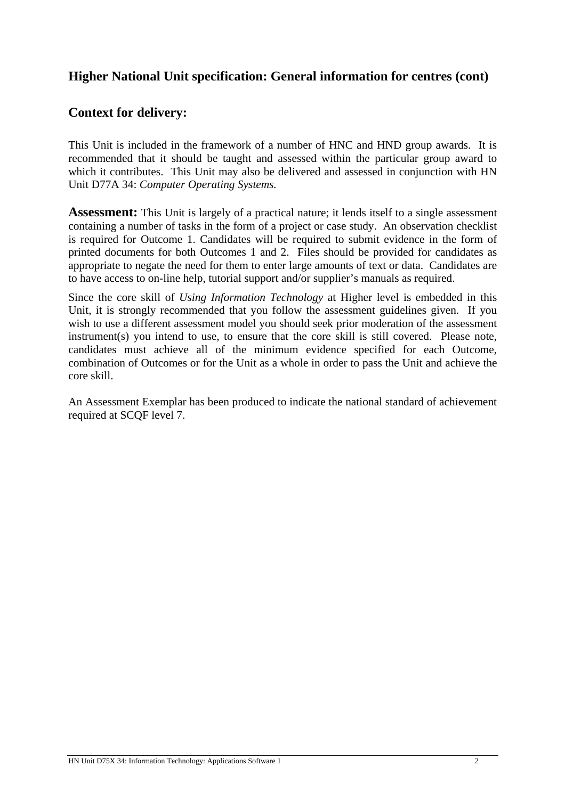## **Higher National Unit specification: General information for centres (cont)**

## **Context for delivery:**

This Unit is included in the framework of a number of HNC and HND group awards. It is recommended that it should be taught and assessed within the particular group award to which it contributes. This Unit may also be delivered and assessed in conjunction with HN Unit D77A 34: *Computer Operating Systems.* 

**Assessment:** This Unit is largely of a practical nature; it lends itself to a single assessment containing a number of tasks in the form of a project or case study. An observation checklist is required for Outcome 1. Candidates will be required to submit evidence in the form of printed documents for both Outcomes 1 and 2. Files should be provided for candidates as appropriate to negate the need for them to enter large amounts of text or data. Candidates are to have access to on-line help, tutorial support and/or supplier's manuals as required.

Since the core skill of *Using Information Technology* at Higher level is embedded in this Unit, it is strongly recommended that you follow the assessment guidelines given. If you wish to use a different assessment model you should seek prior moderation of the assessment instrument(s) you intend to use, to ensure that the core skill is still covered. Please note, candidates must achieve all of the minimum evidence specified for each Outcome, combination of Outcomes or for the Unit as a whole in order to pass the Unit and achieve the core skill.

An Assessment Exemplar has been produced to indicate the national standard of achievement required at SCQF level 7.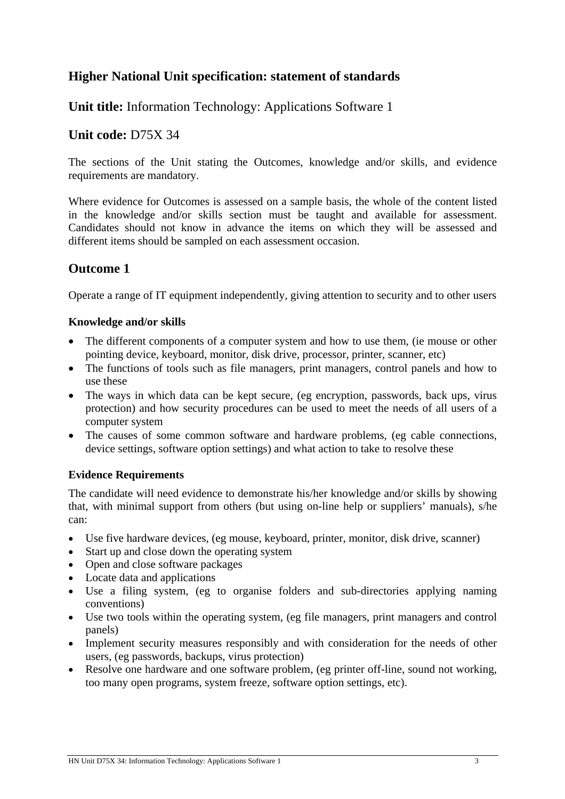# **Higher National Unit specification: statement of standards**

## **Unit title:** Information Technology: Applications Software 1

#### **Unit code:** D75X 34

The sections of the Unit stating the Outcomes, knowledge and/or skills, and evidence requirements are mandatory.

Where evidence for Outcomes is assessed on a sample basis, the whole of the content listed in the knowledge and/or skills section must be taught and available for assessment. Candidates should not know in advance the items on which they will be assessed and different items should be sampled on each assessment occasion.

## **Outcome 1**

Operate a range of IT equipment independently, giving attention to security and to other users

#### **Knowledge and/or skills**

- The different components of a computer system and how to use them, (ie mouse or other pointing device, keyboard, monitor, disk drive, processor, printer, scanner, etc)
- The functions of tools such as file managers, print managers, control panels and how to use these
- The ways in which data can be kept secure, (eg encryption, passwords, back ups, virus protection) and how security procedures can be used to meet the needs of all users of a computer system
- The causes of some common software and hardware problems, (eg cable connections, device settings, software option settings) and what action to take to resolve these

#### **Evidence Requirements**

The candidate will need evidence to demonstrate his/her knowledge and/or skills by showing that, with minimal support from others (but using on-line help or suppliers' manuals), s/he can:

- Use five hardware devices, (eg mouse, keyboard, printer, monitor, disk drive, scanner)
- Start up and close down the operating system
- Open and close software packages
- Locate data and applications
- Use a filing system, (eg to organise folders and sub-directories applying naming conventions)
- Use two tools within the operating system, (eg file managers, print managers and control panels)
- Implement security measures responsibly and with consideration for the needs of other users, (eg passwords, backups, virus protection)
- Resolve one hardware and one software problem, (eg printer off-line, sound not working, too many open programs, system freeze, software option settings, etc).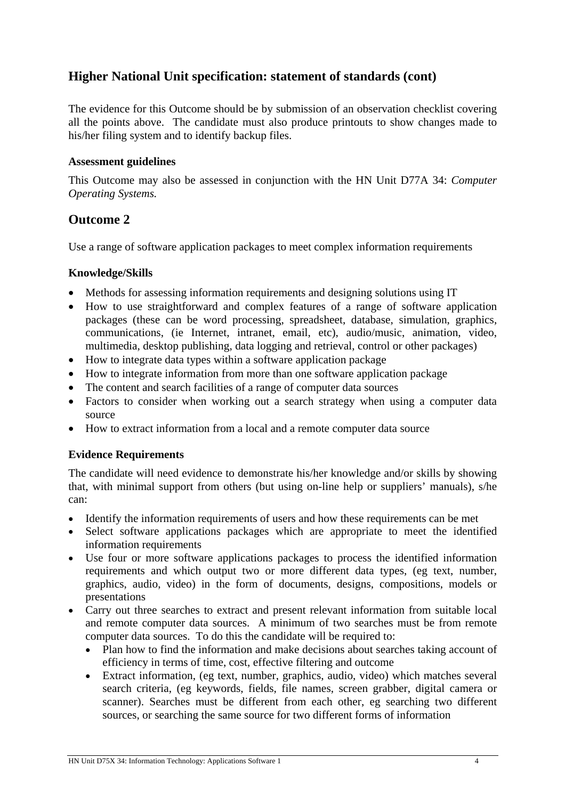# **Higher National Unit specification: statement of standards (cont)**

The evidence for this Outcome should be by submission of an observation checklist covering all the points above. The candidate must also produce printouts to show changes made to his/her filing system and to identify backup files.

#### **Assessment guidelines**

This Outcome may also be assessed in conjunction with the HN Unit D77A 34: *Computer Operating Systems.*

#### **Outcome 2**

Use a range of software application packages to meet complex information requirements

#### **Knowledge/Skills**

- Methods for assessing information requirements and designing solutions using IT
- How to use straightforward and complex features of a range of software application packages (these can be word processing, spreadsheet, database, simulation, graphics, communications, (ie Internet, intranet, email, etc), audio/music, animation, video, multimedia, desktop publishing, data logging and retrieval, control or other packages)
- How to integrate data types within a software application package
- How to integrate information from more than one software application package
- The content and search facilities of a range of computer data sources
- Factors to consider when working out a search strategy when using a computer data source
- How to extract information from a local and a remote computer data source

#### **Evidence Requirements**

The candidate will need evidence to demonstrate his/her knowledge and/or skills by showing that, with minimal support from others (but using on-line help or suppliers' manuals), s/he can:

- Identify the information requirements of users and how these requirements can be met
- Select software applications packages which are appropriate to meet the identified information requirements
- Use four or more software applications packages to process the identified information requirements and which output two or more different data types, (eg text, number, graphics, audio, video) in the form of documents, designs, compositions, models or presentations
- Carry out three searches to extract and present relevant information from suitable local and remote computer data sources. A minimum of two searches must be from remote computer data sources. To do this the candidate will be required to:
	- Plan how to find the information and make decisions about searches taking account of efficiency in terms of time, cost, effective filtering and outcome
	- Extract information, (eg text, number, graphics, audio, video) which matches several search criteria, (eg keywords, fields, file names, screen grabber, digital camera or scanner). Searches must be different from each other, eg searching two different sources, or searching the same source for two different forms of information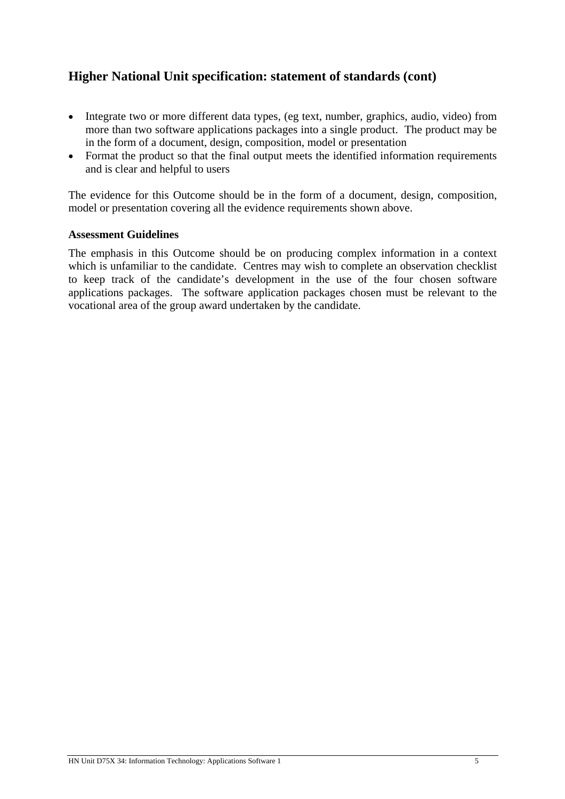# **Higher National Unit specification: statement of standards (cont)**

- Integrate two or more different data types, (eg text, number, graphics, audio, video) from more than two software applications packages into a single product. The product may be in the form of a document, design, composition, model or presentation
- Format the product so that the final output meets the identified information requirements and is clear and helpful to users

The evidence for this Outcome should be in the form of a document, design, composition, model or presentation covering all the evidence requirements shown above.

#### **Assessment Guidelines**

The emphasis in this Outcome should be on producing complex information in a context which is unfamiliar to the candidate. Centres may wish to complete an observation checklist to keep track of the candidate's development in the use of the four chosen software applications packages. The software application packages chosen must be relevant to the vocational area of the group award undertaken by the candidate.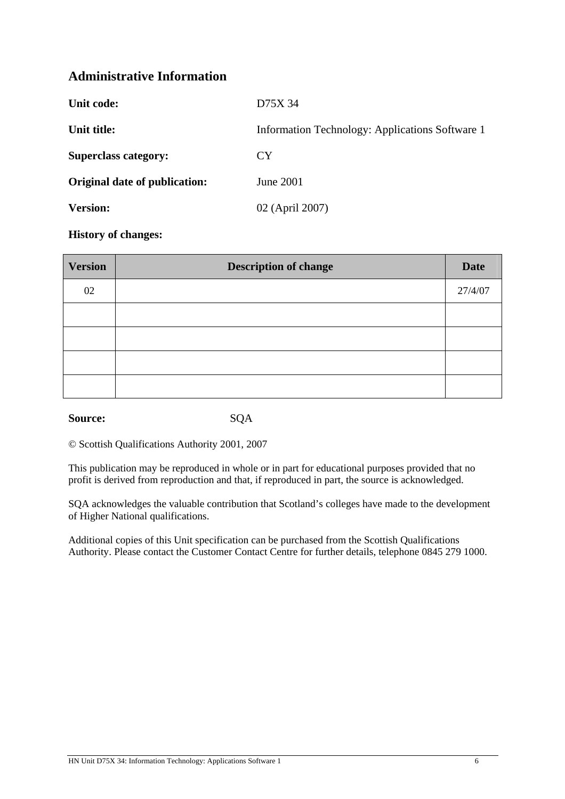## **Administrative Information**

| Unit code:                    | D75X 34                                         |
|-------------------------------|-------------------------------------------------|
| Unit title:                   | Information Technology: Applications Software 1 |
| <b>Superclass category:</b>   | <b>CY</b>                                       |
| Original date of publication: | June 2001                                       |
| <b>Version:</b>               | 02 (April 2007)                                 |
|                               |                                                 |

#### **History of changes:**

| <b>Version</b> | <b>Description of change</b> |         |
|----------------|------------------------------|---------|
| 02             |                              | 27/4/07 |
|                |                              |         |
|                |                              |         |
|                |                              |         |
|                |                              |         |

#### Source: SQA

© Scottish Qualifications Authority 2001, 2007

This publication may be reproduced in whole or in part for educational purposes provided that no profit is derived from reproduction and that, if reproduced in part, the source is acknowledged.

SQA acknowledges the valuable contribution that Scotland's colleges have made to the development of Higher National qualifications.

Additional copies of this Unit specification can be purchased from the Scottish Qualifications Authority. Please contact the Customer Contact Centre for further details, telephone 0845 279 1000.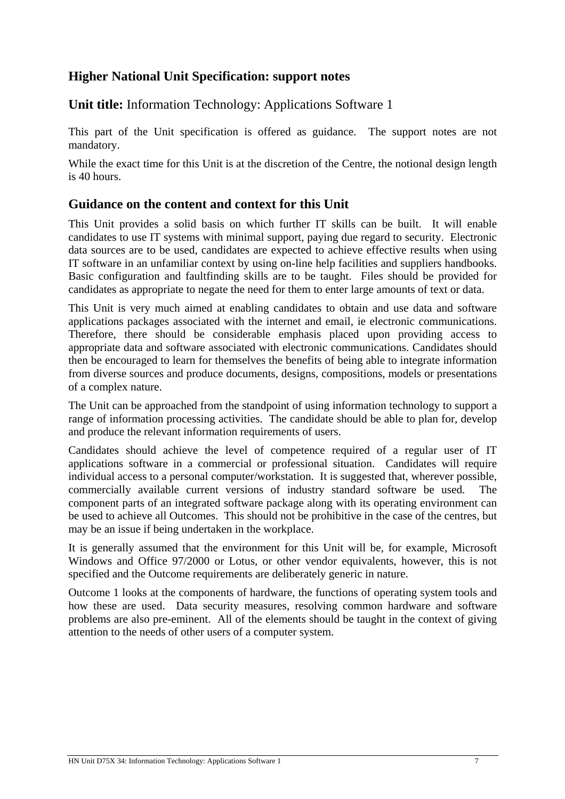## **Higher National Unit Specification: support notes**

**Unit title:** Information Technology: Applications Software 1

This part of the Unit specification is offered as guidance. The support notes are not mandatory.

While the exact time for this Unit is at the discretion of the Centre, the notional design length is 40 hours.

## **Guidance on the content and context for this Unit**

This Unit provides a solid basis on which further IT skills can be built. It will enable candidates to use IT systems with minimal support, paying due regard to security. Electronic data sources are to be used, candidates are expected to achieve effective results when using IT software in an unfamiliar context by using on-line help facilities and suppliers handbooks. Basic configuration and faultfinding skills are to be taught. Files should be provided for candidates as appropriate to negate the need for them to enter large amounts of text or data.

This Unit is very much aimed at enabling candidates to obtain and use data and software applications packages associated with the internet and email, ie electronic communications. Therefore, there should be considerable emphasis placed upon providing access to appropriate data and software associated with electronic communications. Candidates should then be encouraged to learn for themselves the benefits of being able to integrate information from diverse sources and produce documents, designs, compositions, models or presentations of a complex nature.

The Unit can be approached from the standpoint of using information technology to support a range of information processing activities. The candidate should be able to plan for, develop and produce the relevant information requirements of users.

Candidates should achieve the level of competence required of a regular user of IT applications software in a commercial or professional situation. Candidates will require individual access to a personal computer/workstation. It is suggested that, wherever possible, commercially available current versions of industry standard software be used. The component parts of an integrated software package along with its operating environment can be used to achieve all Outcomes. This should not be prohibitive in the case of the centres, but may be an issue if being undertaken in the workplace.

It is generally assumed that the environment for this Unit will be, for example, Microsoft Windows and Office 97/2000 or Lotus, or other vendor equivalents, however, this is not specified and the Outcome requirements are deliberately generic in nature.

Outcome 1 looks at the components of hardware, the functions of operating system tools and how these are used. Data security measures, resolving common hardware and software problems are also pre-eminent. All of the elements should be taught in the context of giving attention to the needs of other users of a computer system.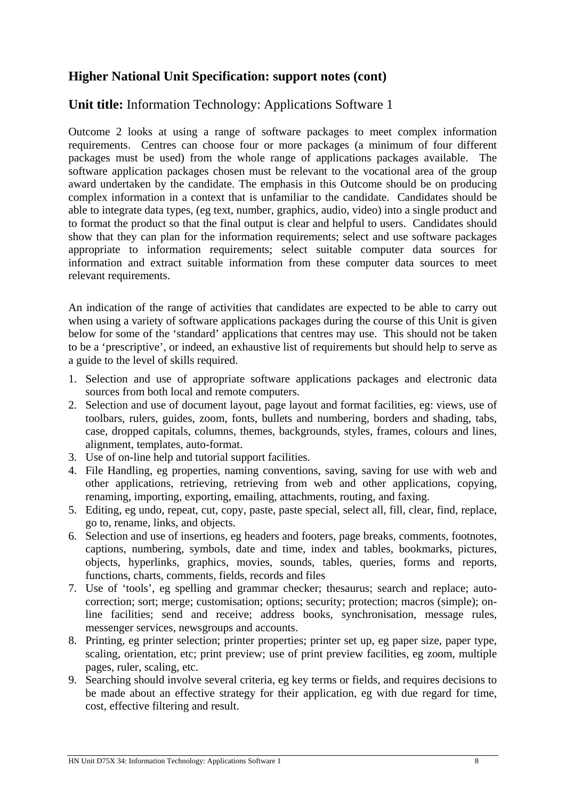## **Higher National Unit Specification: support notes (cont)**

# **Unit title:** Information Technology: Applications Software 1

Outcome 2 looks at using a range of software packages to meet complex information requirements. Centres can choose four or more packages (a minimum of four different packages must be used) from the whole range of applications packages available. The software application packages chosen must be relevant to the vocational area of the group award undertaken by the candidate. The emphasis in this Outcome should be on producing complex information in a context that is unfamiliar to the candidate. Candidates should be able to integrate data types, (eg text, number, graphics, audio, video) into a single product and to format the product so that the final output is clear and helpful to users. Candidates should show that they can plan for the information requirements; select and use software packages appropriate to information requirements; select suitable computer data sources for information and extract suitable information from these computer data sources to meet relevant requirements.

An indication of the range of activities that candidates are expected to be able to carry out when using a variety of software applications packages during the course of this Unit is given below for some of the 'standard' applications that centres may use. This should not be taken to be a 'prescriptive', or indeed, an exhaustive list of requirements but should help to serve as a guide to the level of skills required.

- 1. Selection and use of appropriate software applications packages and electronic data sources from both local and remote computers.
- 2. Selection and use of document layout, page layout and format facilities, eg: views, use of toolbars, rulers, guides, zoom, fonts, bullets and numbering, borders and shading, tabs, case, dropped capitals, columns, themes, backgrounds, styles, frames, colours and lines, alignment, templates, auto-format.
- 3. Use of on-line help and tutorial support facilities.
- 4. File Handling, eg properties, naming conventions, saving, saving for use with web and other applications, retrieving, retrieving from web and other applications, copying, renaming, importing, exporting, emailing, attachments, routing, and faxing.
- 5. Editing, eg undo, repeat, cut, copy, paste, paste special, select all, fill, clear, find, replace, go to, rename, links, and objects.
- 6. Selection and use of insertions, eg headers and footers, page breaks, comments, footnotes, captions, numbering, symbols, date and time, index and tables, bookmarks, pictures, objects, hyperlinks, graphics, movies, sounds, tables, queries, forms and reports, functions, charts, comments, fields, records and files
- 7. Use of 'tools', eg spelling and grammar checker; thesaurus; search and replace; autocorrection; sort; merge; customisation; options; security; protection; macros (simple); online facilities; send and receive; address books, synchronisation, message rules, messenger services, newsgroups and accounts.
- 8. Printing, eg printer selection; printer properties; printer set up, eg paper size, paper type, scaling, orientation, etc; print preview; use of print preview facilities, eg zoom, multiple pages, ruler, scaling, etc.
- 9. Searching should involve several criteria, eg key terms or fields, and requires decisions to be made about an effective strategy for their application, eg with due regard for time, cost, effective filtering and result.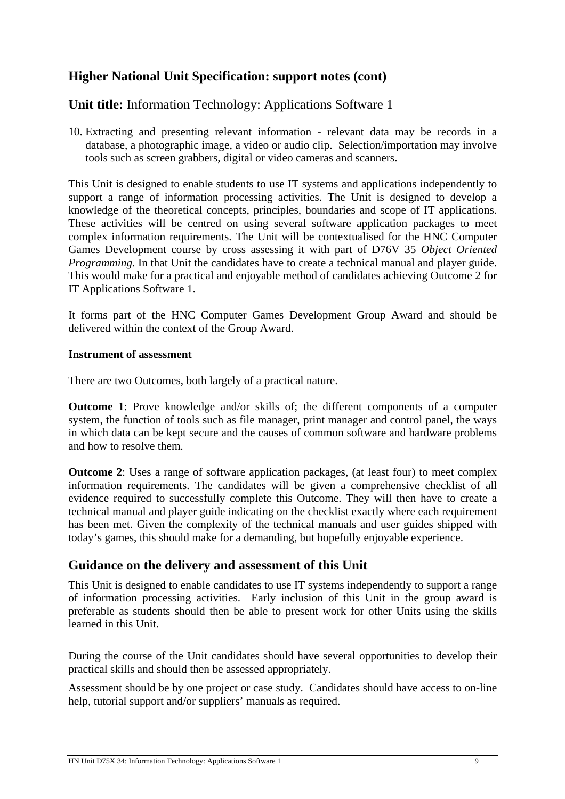## **Higher National Unit Specification: support notes (cont)**

## **Unit title:** Information Technology: Applications Software 1

10. Extracting and presenting relevant information - relevant data may be records in a database, a photographic image, a video or audio clip. Selection/importation may involve tools such as screen grabbers, digital or video cameras and scanners.

This Unit is designed to enable students to use IT systems and applications independently to support a range of information processing activities. The Unit is designed to develop a knowledge of the theoretical concepts, principles, boundaries and scope of IT applications. These activities will be centred on using several software application packages to meet complex information requirements. The Unit will be contextualised for the HNC Computer Games Development course by cross assessing it with part of D76V 35 *Object Oriented Programming*. In that Unit the candidates have to create a technical manual and player guide. This would make for a practical and enjoyable method of candidates achieving Outcome 2 for IT Applications Software 1.

It forms part of the HNC Computer Games Development Group Award and should be delivered within the context of the Group Award.

#### **Instrument of assessment**

There are two Outcomes, both largely of a practical nature.

**Outcome 1**: Prove knowledge and/or skills of; the different components of a computer system, the function of tools such as file manager, print manager and control panel, the ways in which data can be kept secure and the causes of common software and hardware problems and how to resolve them.

**Outcome 2**: Uses a range of software application packages, (at least four) to meet complex information requirements. The candidates will be given a comprehensive checklist of all evidence required to successfully complete this Outcome. They will then have to create a technical manual and player guide indicating on the checklist exactly where each requirement has been met. Given the complexity of the technical manuals and user guides shipped with today's games, this should make for a demanding, but hopefully enjoyable experience.

## **Guidance on the delivery and assessment of this Unit**

This Unit is designed to enable candidates to use IT systems independently to support a range of information processing activities. Early inclusion of this Unit in the group award is preferable as students should then be able to present work for other Units using the skills learned in this Unit.

During the course of the Unit candidates should have several opportunities to develop their practical skills and should then be assessed appropriately.

Assessment should be by one project or case study. Candidates should have access to on-line help, tutorial support and/or suppliers' manuals as required.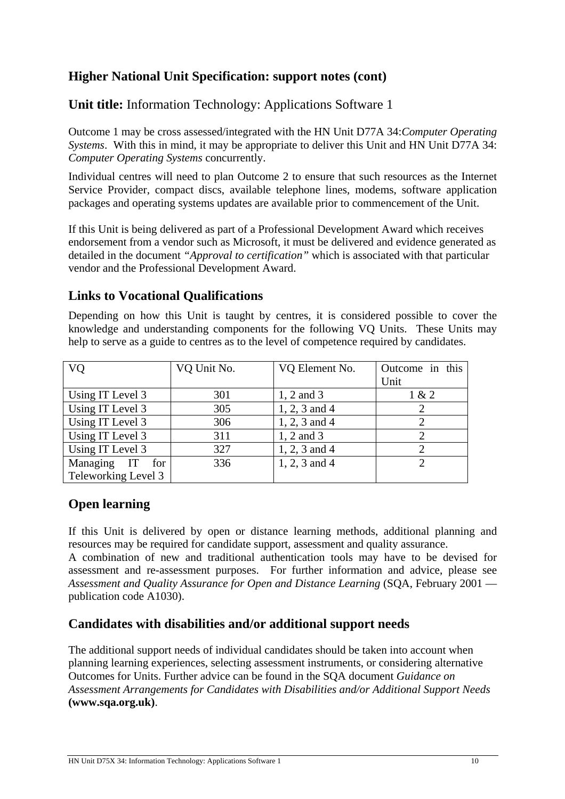# **Higher National Unit Specification: support notes (cont)**

**Unit title:** Information Technology: Applications Software 1

Outcome 1 may be cross assessed/integrated with the HN Unit D77A 34:*Computer Operating Systems*. With this in mind, it may be appropriate to deliver this Unit and HN Unit D77A 34: *Computer Operating Systems* concurrently.

Individual centres will need to plan Outcome 2 to ensure that such resources as the Internet Service Provider, compact discs, available telephone lines, modems, software application packages and operating systems updates are available prior to commencement of the Unit.

If this Unit is being delivered as part of a Professional Development Award which receives endorsement from a vendor such as Microsoft, it must be delivered and evidence generated as detailed in the document *"Approval to certification"* which is associated with that particular vendor and the Professional Development Award.

#### **Links to Vocational Qualifications**

Depending on how this Unit is taught by centres, it is considered possible to cover the knowledge and understanding components for the following VQ Units. These Units may help to serve as a guide to centres as to the level of competence required by candidates.

| <b>VQ</b>           | VQ Unit No. | VQ Element No.  | Outcome in this<br>Unit     |
|---------------------|-------------|-----------------|-----------------------------|
| Using IT Level 3    | 301         | 1, 2 and 3      | 1 & 2                       |
| Using IT Level 3    | 305         | $1, 2, 3$ and 4 |                             |
| Using IT Level 3    | 306         | $1, 2, 3$ and 4 |                             |
| Using IT Level 3    | 311         | 1, 2 and 3      | 2                           |
| Using IT Level 3    | 327         | $1, 2, 3$ and 4 | $\mathcal{D}_{\mathcal{L}}$ |
| Managing IT<br>for  | 336         | 1, 2, 3 and 4   | $\mathcal{D}$               |
| Teleworking Level 3 |             |                 |                             |

## **Open learning**

If this Unit is delivered by open or distance learning methods, additional planning and resources may be required for candidate support, assessment and quality assurance.

A combination of new and traditional authentication tools may have to be devised for assessment and re-assessment purposes. For further information and advice, please see *Assessment and Quality Assurance for Open and Distance Learning (SQA, February 2001* publication code A1030).

## **Candidates with disabilities and/or additional support needs**

The additional support needs of individual candidates should be taken into account when planning learning experiences, selecting assessment instruments, or considering alternative Outcomes for Units. Further advice can be found in the SQA document *Guidance on Assessment Arrangements for Candidates with Disabilities and/or Additional Support Needs* **(www.sqa.org.uk)**.